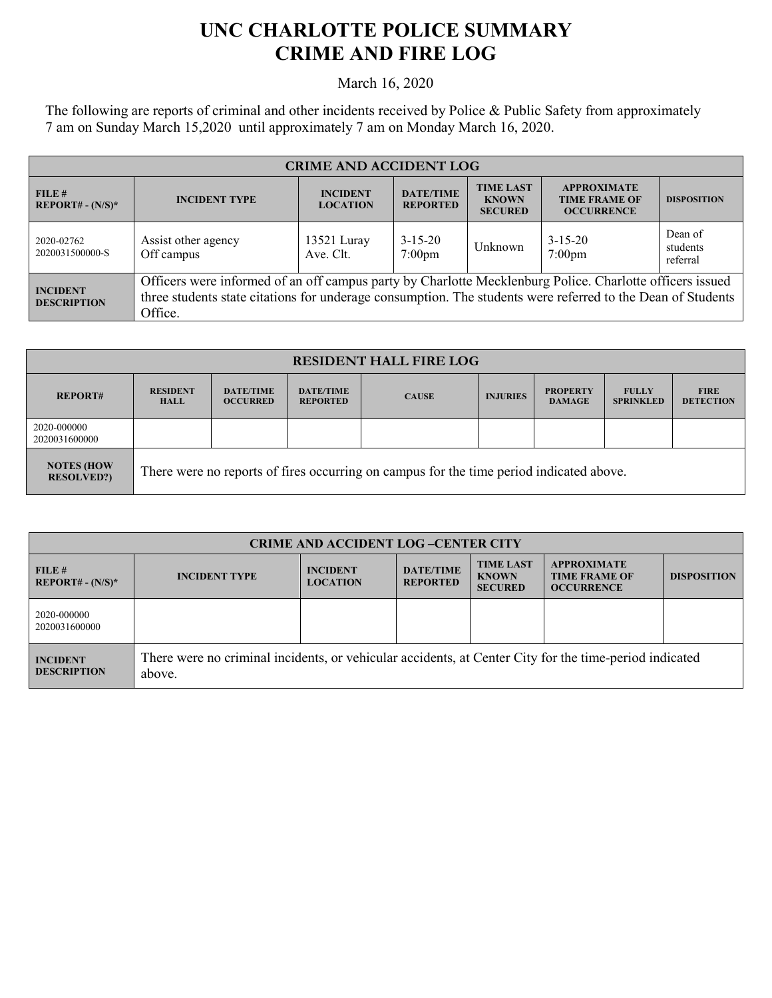## **UNC CHARLOTTE POLICE SUMMARY CRIME AND FIRE LOG**

March 16, 2020

The following are reports of criminal and other incidents received by Police & Public Safety from approximately 7 am on Sunday March 15,2020 until approximately 7 am on Monday March 16, 2020.

| <b>CRIME AND ACCIDENT LOG</b>         |                                                                                                                                                                                                                                    |                                    |                                     |                                                    |                                                                 |                                 |
|---------------------------------------|------------------------------------------------------------------------------------------------------------------------------------------------------------------------------------------------------------------------------------|------------------------------------|-------------------------------------|----------------------------------------------------|-----------------------------------------------------------------|---------------------------------|
| FILE#<br>$REPORT# - (N/S)*$           | <b>INCIDENT TYPE</b>                                                                                                                                                                                                               | <b>INCIDENT</b><br><b>LOCATION</b> | <b>DATE/TIME</b><br><b>REPORTED</b> | <b>TIME LAST</b><br><b>KNOWN</b><br><b>SECURED</b> | <b>APPROXIMATE</b><br><b>TIME FRAME OF</b><br><b>OCCURRENCE</b> | <b>DISPOSITION</b>              |
| 2020-02762<br>2020031500000-S         | Assist other agency<br>Off campus                                                                                                                                                                                                  | 13521 Luray<br>Ave. Clt.           | $3 - 15 - 20$<br>$7:00 \text{pm}$   | Unknown                                            | $3 - 15 - 20$<br>$7:00$ pm                                      | Dean of<br>students<br>referral |
| <b>INCIDENT</b><br><b>DESCRIPTION</b> | Officers were informed of an off campus party by Charlotte Mecklenburg Police. Charlotte officers issued<br>three students state citations for underage consumption. The students were referred to the Dean of Students<br>Office. |                                    |                                     |                                                    |                                                                 |                                 |

| <b>RESIDENT HALL FIRE LOG</b>          |                                                                                         |                                     |                                     |              |                 |                                  |                                  |                                 |
|----------------------------------------|-----------------------------------------------------------------------------------------|-------------------------------------|-------------------------------------|--------------|-----------------|----------------------------------|----------------------------------|---------------------------------|
| <b>REPORT#</b>                         | <b>RESIDENT</b><br><b>HALL</b>                                                          | <b>DATE/TIME</b><br><b>OCCURRED</b> | <b>DATE/TIME</b><br><b>REPORTED</b> | <b>CAUSE</b> | <b>INJURIES</b> | <b>PROPERTY</b><br><b>DAMAGE</b> | <b>FULLY</b><br><b>SPRINKLED</b> | <b>FIRE</b><br><b>DETECTION</b> |
| 2020-000000<br>2020031600000           |                                                                                         |                                     |                                     |              |                 |                                  |                                  |                                 |
| <b>NOTES (HOW</b><br><b>RESOLVED?)</b> | There were no reports of fires occurring on campus for the time period indicated above. |                                     |                                     |              |                 |                                  |                                  |                                 |

| <b>CRIME AND ACCIDENT LOG-CENTER CITY</b> |                                                                                                                  |                                    |                                     |                                                    |                                                                 |                    |
|-------------------------------------------|------------------------------------------------------------------------------------------------------------------|------------------------------------|-------------------------------------|----------------------------------------------------|-----------------------------------------------------------------|--------------------|
| FILE#<br>$REPORT# - (N/S)*$               | <b>INCIDENT TYPE</b>                                                                                             | <b>INCIDENT</b><br><b>LOCATION</b> | <b>DATE/TIME</b><br><b>REPORTED</b> | <b>TIME LAST</b><br><b>KNOWN</b><br><b>SECURED</b> | <b>APPROXIMATE</b><br><b>TIME FRAME OF</b><br><b>OCCURRENCE</b> | <b>DISPOSITION</b> |
| 2020-000000<br>2020031600000              |                                                                                                                  |                                    |                                     |                                                    |                                                                 |                    |
| <b>INCIDENT</b><br><b>DESCRIPTION</b>     | There were no criminal incidents, or vehicular accidents, at Center City for the time-period indicated<br>above. |                                    |                                     |                                                    |                                                                 |                    |